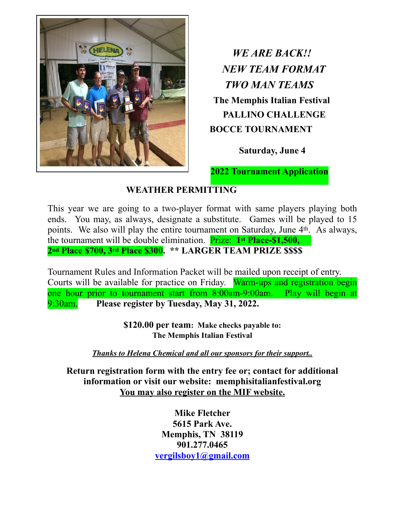

*WE ARE BACK!! NEW TEAM FORMAT TWO MAN TEAMS*   **The Memphis Italian Festival PALLINO CHALLENGE BOCCE TOURNAMENT** 

 **Saturday, June 4**

 **2022 Tournament Application** 

## **WEATHER PERMITTING**

This year we are going to a two-player format with same players playing both ends. You may, as always, designate a substitute. Games will be played to 15 points. We also will play the entire tournament on Saturday, June 4th. As always, the tournament will be double elimination. Prize: **1st Place-\$1,500, 2nd Place \$700, 3rd Place \$300. \*\* LARGER TEAM PRIZE \$\$\$\$** 

Tournament Rules and Information Packet will be mailed upon receipt of entry. Courts will be available for practice on Friday. Warm-ups and registration begin one hour prior to tournament start from 8:00am-9:00am. Play will begin at 9:30am. **Please register by Tuesday, May 31, 2022.** 

> **\$120.00 per team: Make checks payable to: The Memphis Italian Festival**

*Thanks to Helena Chemical and all our sponsors for their support..* 

**Return registration form with the entry fee or; contact for additional information or visit our website: memphisitalianfestival.org You may also register on the MIF website.** 

> **Mike Fletcher 5615 Park Ave. Memphis, TN 38119 901.277.0465 [vergilsboy1@gmail.com](mailto:vergilsboy1@gmail.com)**